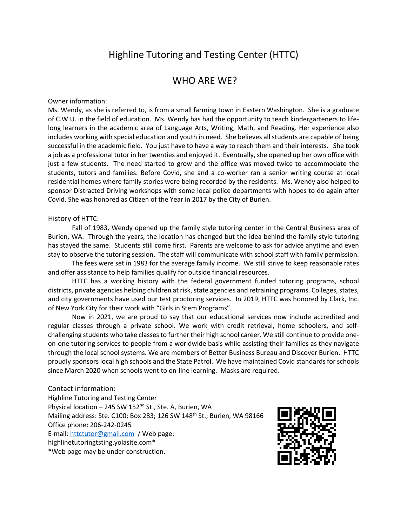# Highline Tutoring and Testing Center (HTTC)

# WHO ARE WE?

#### Owner information:

Ms. Wendy, as she is referred to, is from a small farming town in Eastern Washington. She is a graduate of C.W.U. in the field of education. Ms. Wendy has had the opportunity to teach kindergarteners to lifelong learners in the academic area of Language Arts, Writing, Math, and Reading. Her experience also includes working with special education and youth in need. She believes all students are capable of being successful in the academic field. You just have to have a way to reach them and their interests. She took a job as a professional tutor in her twenties and enjoyed it. Eventually, she opened up her own office with just a few students. The need started to grow and the office was moved twice to accommodate the students, tutors and families. Before Covid, she and a co-worker ran a senior writing course at local residential homes where family stories were being recorded by the residents. Ms. Wendy also helped to sponsor Distracted Driving workshops with some local police departments with hopes to do again after Covid. She was honored as Citizen of the Year in 2017 by the City of Burien.

#### History of HTTC:

Fall of 1983, Wendy opened up the family style tutoring center in the Central Business area of Burien, WA. Through the years, the location has changed but the idea behind the family style tutoring has stayed the same. Students still come first. Parents are welcome to ask for advice anytime and even stay to observe the tutoring session. The staff will communicate with school staff with family permission.

The fees were set in 1983 for the average family income. We still strive to keep reasonable rates and offer assistance to help families qualify for outside financial resources.

HTTC has a working history with the federal government funded tutoring programs, school districts, private agencies helping children at risk, state agencies and retraining programs. Colleges, states, and city governments have used our test proctoring services. In 2019, HTTC was honored by Clark, Inc. of New York City for their work with "Girls in Stem Programs".

Now in 2021, we are proud to say that our educational services now include accredited and regular classes through a private school. We work with credit retrieval, home schoolers, and selfchallenging students who take classes to further their high school career. We still continue to provide oneon-one tutoring services to people from a worldwide basis while assisting their families as they navigate through the local school systems. We are members of Better Business Bureau and Discover Burien. HTTC proudly sponsors local high schools and the State Patrol. We have maintained Covid standards for schools since March 2020 when schools went to on-line learning. Masks are required.

### Contact information: Highline Tutoring and Testing Center Physical location - 245 SW 152<sup>nd</sup> St., Ste. A, Burien, WA Mailing address: Ste. C100; Box 283; 126 SW 148<sup>th</sup> St.; Burien, WA 98166 Office phone: 206-242-0245 E-mail: httctutor@gmail.com / Web page: highlinetutoringtsting.yolasite.com\* \*Web page may be under construction.

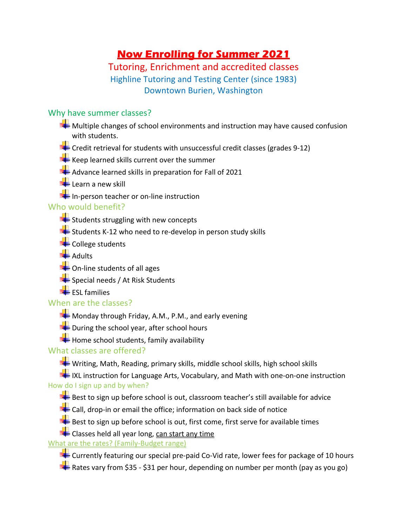# **Now Enrolling for Summer 2021**

# Tutoring, Enrichment and accredited classes Highline Tutoring and Testing Center (since 1983) Downtown Burien, Washington

# Why have summer classes?

- $\blacktriangleright$  Multiple changes of school environments and instruction may have caused confusion with students.
- $\blacktriangleright$  Credit retrieval for students with unsuccessful credit classes (grades 9-12)
- $\blacktriangle$  Keep learned skills current over the summer
- $\blacktriangle$  Advance learned skills in preparation for Fall of 2021
- **Learn a new skill**
- In-person teacher or on-line instruction

## Who would benefit?

- $\blacktriangle$  Students struggling with new concepts
- Students K-12 who need to re-develop in person study skills
- College students
- $\frac{1}{2}$  Adults
- **THE On-line students of all ages**
- $\blacktriangleright$  Special needs / At Risk Students
- $E$ ESL families

### When are the classes?

- $\blacktriangle$  Monday through Friday, A.M., P.M., and early evening
- $\blacktriangle$  During the school year, after school hours
- $H$  Home school students, family availability

# What classes are offered?

Writing, Math, Reading, primary skills, middle school skills, high school skills

IN IXL instruction for Language Arts, Vocabulary, and Math with one-on-one instruction How do I sign up and by when?

- Best to sign up before school is out, classroom teacher's still available for advice
- $\blacktriangle$  Call, drop-in or email the office; information on back side of notice
- Best to sign up before school is out, first come, first serve for available times
- $\blacktriangleleft$  Classes held all year long, can start any time

### What are the rates? (Family-Budget range)

- **EXT** Currently featuring our special pre-paid Co-Vid rate, lower fees for package of 10 hours
- Rates vary from \$35 \$31 per hour, depending on number per month (pay as you go)